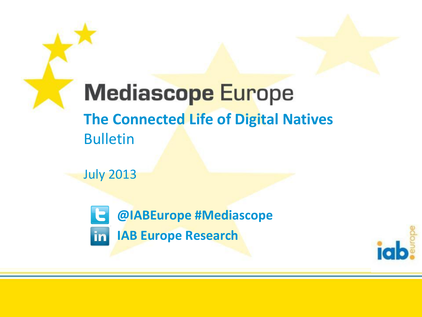**Mediascope Europe The Connected Life of Digital Natives** Bulletin

July 2013

**@IABEurope #Mediascope IAB Europe Researchin** 

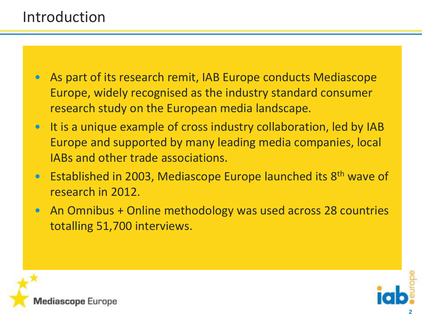#### Introduction

- As part of its research remit, IAB Europe conducts Mediascope Europe, widely recognised as the industry standard consumer research study on the European media landscape.
- It is a unique example of cross industry collaboration, led by IAB Europe and supported by many leading media companies, local IABs and other trade associations.
- Established in 2003, Mediascope Europe launched its 8<sup>th</sup> wave of research in 2012.
- An Omnibus + Online methodology was used across 28 countries totalling 51,700 interviews.



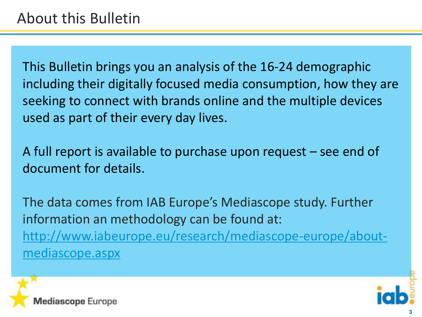This Bulletin brings you an analysis of the 16-24 demographic including their digitally focused media consumption, how they are seeking to connect with brands online and the multiple devices used as part of their every day lives.

A full report is available to purchase upon request – see end of document for details.

The data comes from IAB Europe's Mediascope study. Further information an methodology can be found at: [http://www.iabeurope.eu/research/mediascope-europe/about](http://www.iabeurope.eu/research/mediascope-europe/about-mediascope.aspx)[mediascope.aspx](http://www.iabeurope.eu/research/mediascope-europe/about-mediascope.aspx)

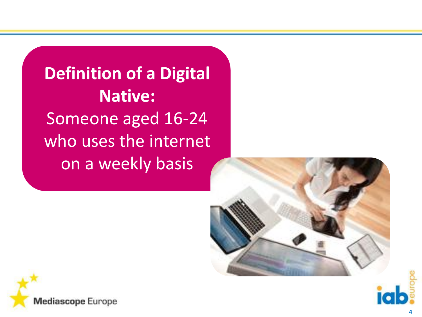**Definition of a Digital Native:** Someone aged 16-24 who uses the internet on a weekly basis





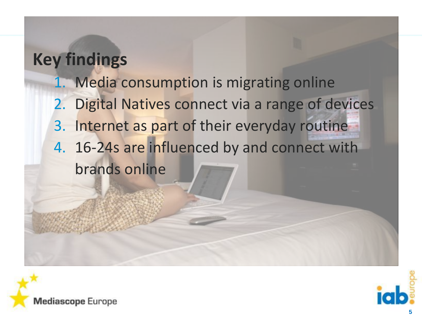### **Key findings**

- 1. Media consumption is migrating online
- 2. Digital Natives connect via a range of devices
- 3. Internet as part of their everyday routine
- 4. 16-24s are influenced by and connect with brands online



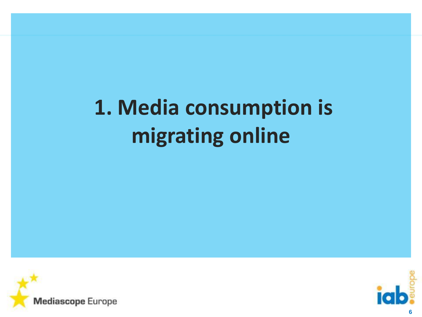# **1. Media consumption is migrating online**



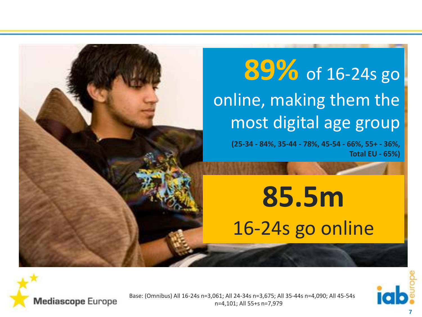### **89%** of 16-24s go online, making them the most digital age group

**(25-34 - 84%, 35-44 - 78%, 45-54 - 66%, 55+ - 36%, Total EU - 65%)**

**85.5m** 16-24s go online





Base: (Omnibus) All 16-24s n=3,061; All 24-34s n=3,675; All 35-44s n=4,090; All 45-54s n=4,101; All 55+s n=7,979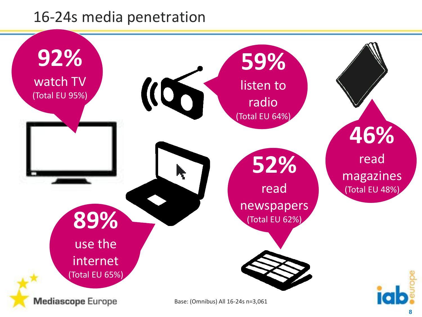#### 16-24s media penetration

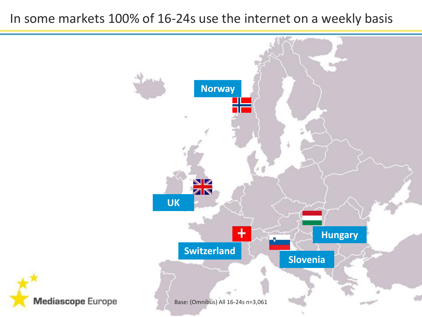#### In some markets 100% of 16-24s use the internet on a weekly basis

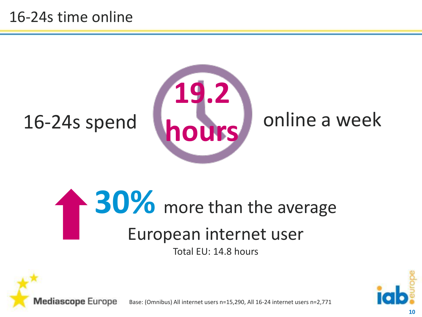#### 16-24s time online



# **30%** more than the average European internet user

Total EU: 14.8 hours



Base: (Omnibus) All internet users n=15,290, All 16-24 internet users n=2,771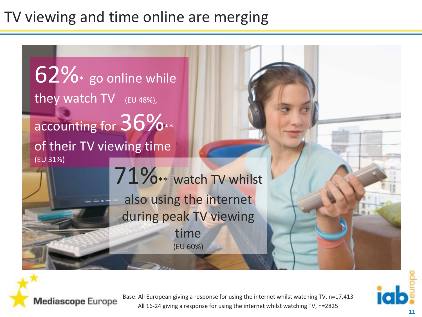### TV viewing and time online are merging

 $62\%$  go online while they watch TV (EU 48%), accounting for  $36\%$ \*\* of their TV viewing time (EU 31%) 71%\*\* watch TV whilst also using the internet during peak TV viewing time (EU 60%)



**Mediascope Europe** 

Base: All European giving a response for using the internet whilst watching TV, n=17,413 All 16-24 giving a response for using the internet whilst watching TV, n=2825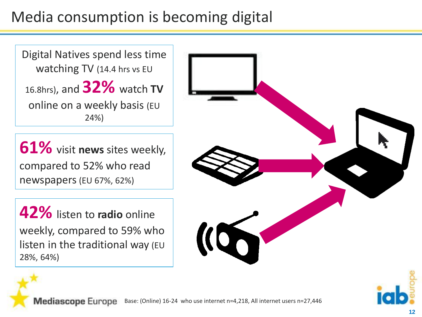### Media consumption is becoming digital

Digital Natives spend less time watching TV (14.4 hrs vs EU 16.8hrs), and **32%** watch **TV** online on a weekly basis (EU 24%)

**61%** visit **news** sites weekly, compared to 52% who read newspapers(EU 67%, 62%)

**42%** listen to **radio** online weekly, compared to 59% who listen in the traditional way (EU 28%, 64%)



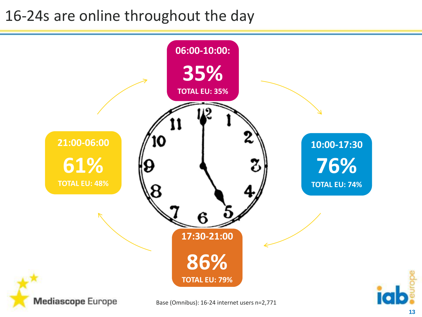### 16-24s are online throughout the day

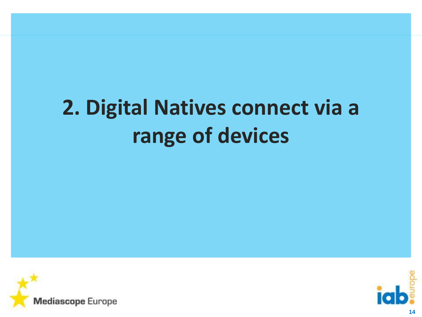## **2. Digital Natives connect via a range of devices**



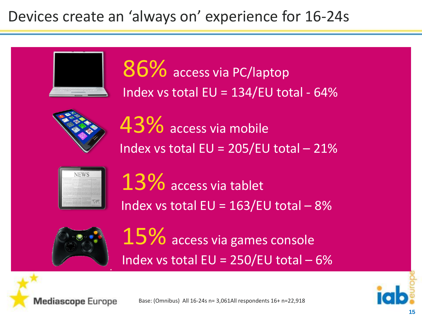#### Devices create an 'always on' experience for 16-24s



86% access via PC/laptop Index vs total  $EU = 134/EU$  total - 64%



43% access via mobile Index vs total  $EU = 205/EU$  total - 21%



13% access via tablet Index vs total  $EU = 163/EU$  total - 8%



 $15\%$  access via games console Index vs total  $EU = 250/EU$  total  $-6\%$ 



Base: (Omnibus) All 16-24s n= 3,061All respondents 16+ n=22,918

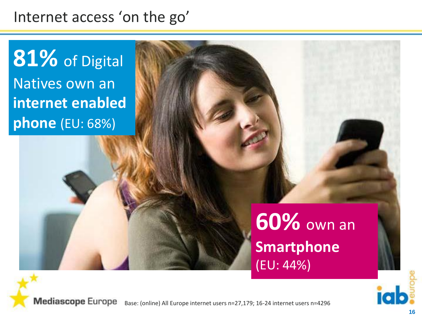#### Internet access 'on the go'

**81%** of Digital Natives own an **internet enabled phone** (EU: 68%)

> **60%** own an **Smartphone** (EU: 44%)

**Mediascope Europe** Base: (online) All Europe internet users n=27,179; 16-24 internet users n=4296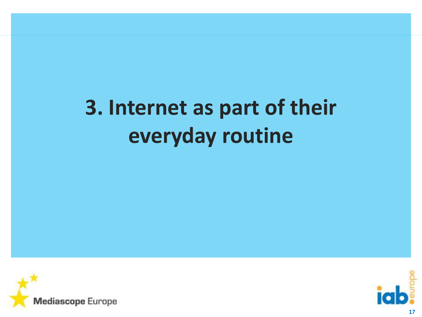## **3. Internet as part of their everyday routine**



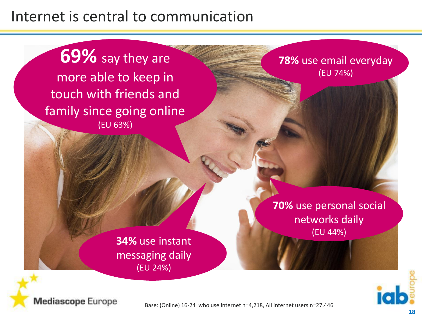#### Internet is central to communication

**69%** say they are more able to keep in touch with friends and family since going online (EU 63%)

**78%** use email everyday (EU 74%)

**34%** use instant messaging daily (EU 24%)

**70%** use personal social networks daily (EU 44%)



**Mediascope Europe** 

Base: (Online) 16-24 who use internet n=4,218, All internet users n=27,446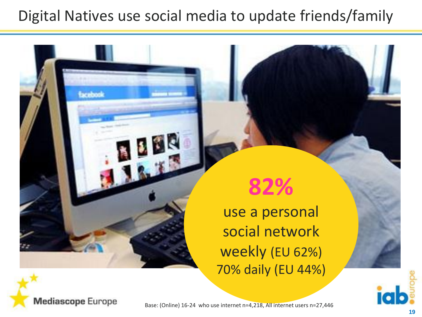#### Digital Natives use social media to update friends/family



use a personal social network weekly (EU 62%) 70% daily (EU 44%)





**Excelsool** 

Base: (Online) 16-24 who use internet n=4,218, All internet users n=27,446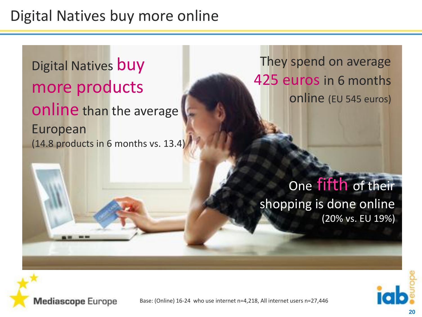#### Digital Natives buy more online

Digital Natives buy more products online than the average European (14.8 products in 6 months vs. 13.4)

They spend on average 425 euros in 6 months online (EU 545 euros)

One fifth of their shopping is done online (20% vs. EU 19%)



**Mediascope Europe**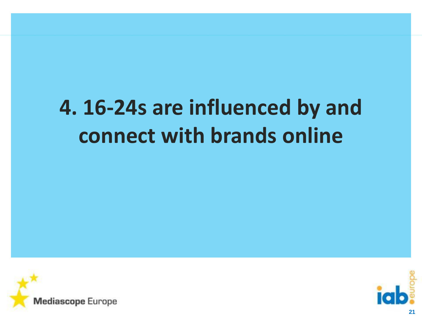# **4. 16-24s are influenced by and connect with brands online**



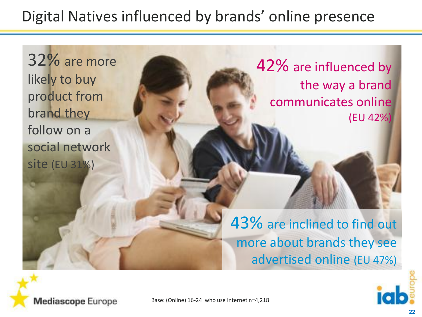### Digital Natives influenced by brands' online presence

32% are more likely to buy product from brand they follow on a social network site (EU 31%)

42% are influenced by the way a brand communicates online (EU 42%)

43% are inclined to find out more about brands they see advertised online (EU 47%)



Base: (Online) 16-24 who use internet n=4,218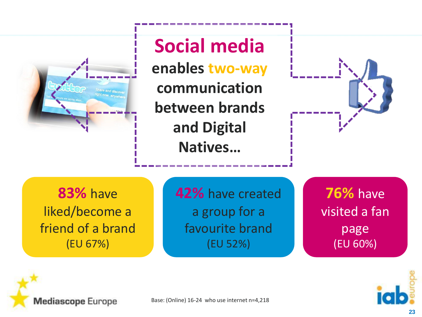

**83%** have liked/become a friend of a brand (EU 67%)

**42%** have created a group for a favourite brand (EU 52%)

**76%** have visited a fan page (EU 60%)



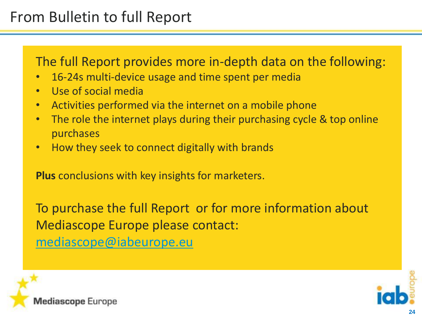#### From Bulletin to full Report

The full Report provides more in-depth data on the following:

- 16-24s multi-device usage and time spent per media
- Use of social media
- Activities performed via the internet on a mobile phone
- The role the internet plays during their purchasing cycle & top online purchases
- How they seek to connect digitally with brands

**Plus** conclusions with key insights for marketers.

To purchase the full Report or for more information about Mediascope Europe please contact: [mediascope@iabeurope.eu](mailto:mediascope@iabeurope.eu)



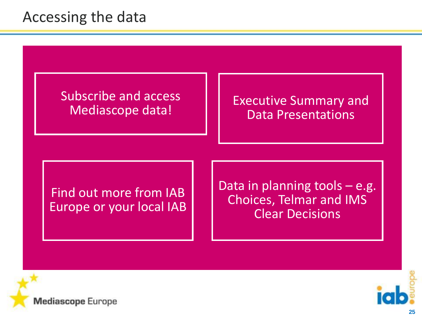#### Accessing the data

Subscribe and access

upscripe and access<br>Mediascope data!<br>Mediascope data! Data Presentations

Find out more from IAB Europe or your local IAB Data in planning tools – e.g. Choices, Telmar and IMS Clear Decisions